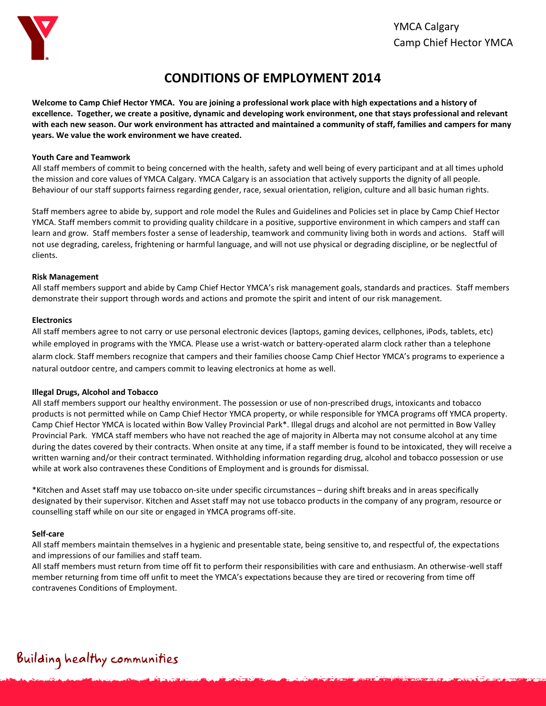

## **CONDITIONS OF EMPLOYMENT 2014**

**Welcome to Camp Chief Hector YMCA. You are joining a professional work place with high expectations and a history of excellence. Together, we create a positive, dynamic and developing work environment, one that stays professional and relevant with each new season. Our work environment has attracted and maintained a community of staff, families and campers for many years. We value the work environment we have created.**

### **Youth Care and Teamwork**

All staff members of commit to being concerned with the health, safety and well being of every participant and at all times uphold the mission and core values of YMCA Calgary. YMCA Calgary is an association that actively supports the dignity of all people. Behaviour of our staff supports fairness regarding gender, race, sexual orientation, religion, culture and all basic human rights.

Staff members agree to abide by, support and role model the Rules and Guidelines and Policies set in place by Camp Chief Hector YMCA. Staff members commit to providing quality childcare in a positive, supportive environment in which campers and staff can learn and grow. Staff members foster a sense of leadership, teamwork and community living both in words and actions. Staff will not use degrading, careless, frightening or harmful language, and will not use physical or degrading discipline, or be neglectful of clients.

#### **Risk Management**

All staff members support and abide by Camp Chief Hector YMCA's risk management goals, standards and practices. Staff members demonstrate their support through words and actions and promote the spirit and intent of our risk management.

#### **Electronics**

All staff members agree to not carry or use personal electronic devices (laptops, gaming devices, cellphones, iPods, tablets, etc) while employed in programs with the YMCA. Please use a wrist-watch or battery-operated alarm clock rather than a telephone alarm clock. Staff members recognize that campers and their families choose Camp Chief Hector YMCA's programs to experience a natural outdoor centre, and campers commit to leaving electronics at home as well.

## **Illegal Drugs, Alcohol and Tobacco**

All staff members support our healthy environment. The possession or use of non-prescribed drugs, intoxicants and tobacco products is not permitted while on Camp Chief Hector YMCA property, or while responsible for YMCA programs off YMCA property. Camp Chief Hector YMCA is located within Bow Valley Provincial Park\*. Illegal drugs and alcohol are not permitted in Bow Valley Provincial Park. YMCA staff members who have not reached the age of majority in Alberta may not consume alcohol at any time during the dates covered by their contracts. When onsite at any time, if a staff member is found to be intoxicated, they will receive a written warning and/or their contract terminated. Withholding information regarding drug, alcohol and tobacco possession or use while at work also contravenes these Conditions of Employment and is grounds for dismissal.

\*Kitchen and Asset staff may use tobacco on-site under specific circumstances – during shift breaks and in areas specifically designated by their supervisor. Kitchen and Asset staff may not use tobacco products in the company of any program, resource or counselling staff while on our site or engaged in YMCA programs off-site.

#### **Self-care**

All staff members maintain themselves in a hygienic and presentable state, being sensitive to, and respectful of, the expectations and impressions of our families and staff team.

All staff members must return from time off fit to perform their responsibilities with care and enthusiasm. An otherwise-well staff member returning from time off unfit to meet the YMCA's expectations because they are tired or recovering from time off contravenes Conditions of Employment.

# Building healthy communities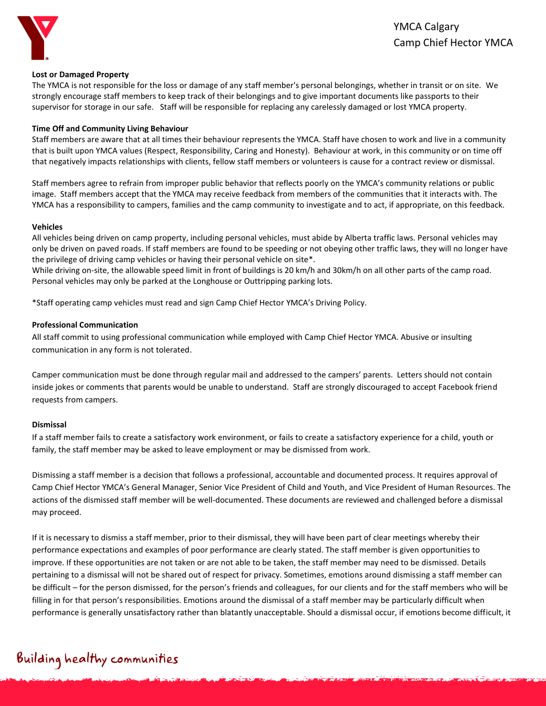

#### **Lost or Damaged Property**

The YMCA is not responsible for the loss or damage of any staff member's personal belongings, whether in transit or on site. We strongly encourage staff members to keep track of their belongings and to give important documents like passports to their supervisor for storage in our safe. Staff will be responsible for replacing any carelessly damaged or lost YMCA property.

#### **Time Off and Community Living Behaviour**

Staff members are aware that at all times their behaviour represents the YMCA. Staff have chosen to work and live in a community that is built upon YMCA values (Respect, Responsibility, Caring and Honesty). Behaviour at work, in this community or on time off that negatively impacts relationships with clients, fellow staff members or volunteers is cause for a contract review or dismissal.

Staff members agree to refrain from improper public behavior that reflects poorly on the YMCA's community relations or public image. Staff members accept that the YMCA may receive feedback from members of the communities that it interacts with. The YMCA has a responsibility to campers, families and the camp community to investigate and to act, if appropriate, on this feedback.

#### **Vehicles**

All vehicles being driven on camp property, including personal vehicles, must abide by Alberta traffic laws. Personal vehicles may only be driven on paved roads. If staff members are found to be speeding or not obeying other traffic laws, they will no longer have the privilege of driving camp vehicles or having their personal vehicle on site\*.

While driving on-site, the allowable speed limit in front of buildings is 20 km/h and 30km/h on all other parts of the camp road. Personal vehicles may only be parked at the Longhouse or Outtripping parking lots.

\*Staff operating camp vehicles must read and sign Camp Chief Hector YMCA's Driving Policy.

#### **Professional Communication**

All staff commit to using professional communication while employed with Camp Chief Hector YMCA. Abusive or insulting communication in any form is not tolerated.

Camper communication must be done through regular mail and addressed to the campers' parents. Letters should not contain inside jokes or comments that parents would be unable to understand. Staff are strongly discouraged to accept Facebook friend requests from campers.

#### **Dismissal**

If a staff member fails to create a satisfactory work environment, or fails to create a satisfactory experience for a child, youth or family, the staff member may be asked to leave employment or may be dismissed from work.

Dismissing a staff member is a decision that follows a professional, accountable and documented process. It requires approval of Camp Chief Hector YMCA's General Manager, Senior Vice President of Child and Youth, and Vice President of Human Resources. The actions of the dismissed staff member will be well-documented. These documents are reviewed and challenged before a dismissal may proceed.

If it is necessary to dismiss a staff member, prior to their dismissal, they will have been part of clear meetings whereby their performance expectations and examples of poor performance are clearly stated. The staff member is given opportunities to improve. If these opportunities are not taken or are not able to be taken, the staff member may need to be dismissed. Details pertaining to a dismissal will not be shared out of respect for privacy. Sometimes, emotions around dismissing a staff member can be difficult – for the person dismissed, for the person's friends and colleagues, for our clients and for the staff members who will be filling in for that person's responsibilities. Emotions around the dismissal of a staff member may be particularly difficult when performance is generally unsatisfactory rather than blatantly unacceptable. Should a dismissal occur, if emotions become difficult, it

## Building healthy communities